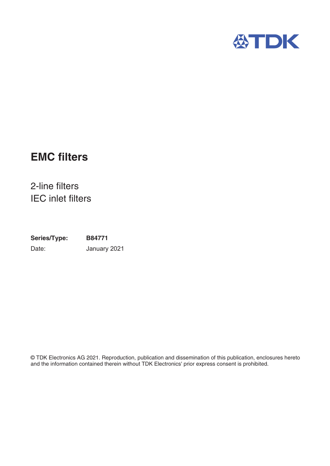

# **EMC filters**

2-line filters IEC inlet filters

**Series/Type: B84771** Date: January 2021

© TDK Electronics AG 2021. Reproduction, publication and dissemination of this publication, enclosures hereto and the information contained therein without TDK Electronics' prior express consent is prohibited.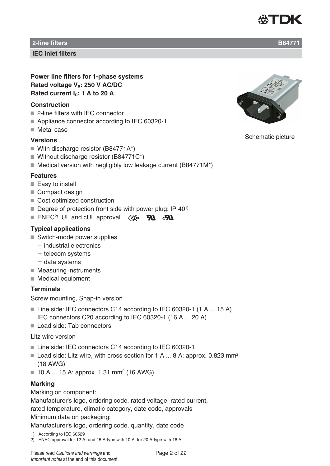

**IEC inlet filters**

**Power line filters for 1-phase systems** Rated voltage V<sub>B</sub>: 250 V AC/DC Rated current I<sub>B</sub>: 1 A to 20 A

#### **Construction**

- 2-line filters with IFC connector
- Appliance connector according to IEC 60320-1
- Metal case

#### **Versions**

- With discharge resistor (B84771A\*)
- Without discharge resistor (B84771C\*)
- $\blacksquare$  Medical version with negligibly low leakage current (B84771M\*)

#### **Features**

- $\blacksquare$  Easy to install
- Compact design
- Cost optimized construction
- $\blacksquare$  Degree of protection front side with power plug: IP 40<sup>1)</sup>
- ENEC<sup>2)</sup>, UL and cUL approval  $\mathscr{R}_{\bullet}$  **DU**  $\mathscr{R}_{\bullet}$

### **Typical applications**

- Switch-mode power supplies
	- $-$  industrial electronics
	- $-$  telecom systems
	- $-$  data systems
- $\blacksquare$  Measuring instruments
- Medical equipment

### **Terminals**

Screw mounting, Snap-in version

- Line side: IEC connectors C14 according to IEC 60320-1 (1 A ... 15 A) IEC connectors C20 according to IEC 60320-1 (16 A ... 20 A)
- Load side: Tab connectors

#### Litz wire version

- Line side: IEC connectors C14 according to IEC 60320-1
- Load side: Litz wire, with cross section for 1 A ... 8 A: approx. 0.823 mm<sup>2</sup> (18 AWG)
- $\blacksquare$  10 A ... 15 A: approx. 1.31 mm<sup>2</sup> (16 AWG)

#### **Marking**

Marking on component:

Manufacturer's logo, ordering code, rated voltage, rated current,

rated temperature, climatic category, date code, approvals

#### Minimum data on packaging:

Manufacturer's logo, ordering code, quantity, date code

- 1) According to IEC 60529
- 2) ENEC approval for 12 A- and 15 A-type with 10 A, for 20 A-type with 16 A



Schematic picture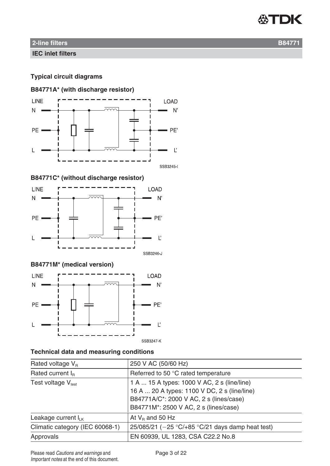

**IEC inlet filters**

# **Typical circuit diagrams**

# **B84771A\* (with discharge resistor)**



**B84771C\* (without discharge resistor)**



# **B84771M\* (medical version)**



# **Technical data and measuring conditions**

| Rated voltage $V_{\rm B}$       | 250 V AC (50/60 Hz)                                                                                                                                                             |  |  |  |  |
|---------------------------------|---------------------------------------------------------------------------------------------------------------------------------------------------------------------------------|--|--|--|--|
| Rated current $I_R$             | Referred to 50 °C rated temperature                                                                                                                                             |  |  |  |  |
| Test voltage $V_{test}$         | 1 A  15 A types: 1000 V AC, 2 s (line/line)<br>16 A  20 A types: 1100 V DC, 2 s (line/line)<br>B84771A/C*: 2000 V AC, 2 s (lines/case)<br>B84771M*: 2500 V AC, 2 s (lines/case) |  |  |  |  |
| Leakage current $I_{LK}$        | At $V_B$ and 50 Hz                                                                                                                                                              |  |  |  |  |
| Climatic category (IEC 60068-1) | 25/085/21 ( $-25$ °C/+85 °C/21 days damp heat test)                                                                                                                             |  |  |  |  |
| Approvals                       | EN 60939, UL 1283, CSA C22.2 No.8                                                                                                                                               |  |  |  |  |
|                                 |                                                                                                                                                                                 |  |  |  |  |

Please read Cautions and warnings and <br>
Page 3 of 22 Important notes at the end of this document.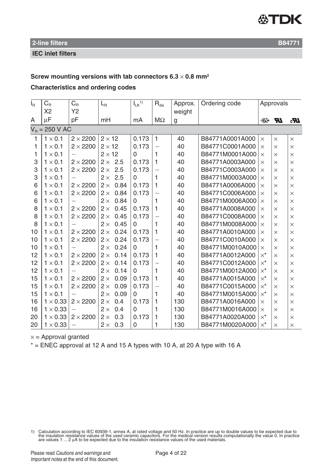

**IEC inlet filters**

#### **Screw mounting versions with tab connectors 6.3** × **0.8 mm2**

#### **Characteristics and ordering codes**

| $I_{\mathsf{R}}$ | $C_{\rm R}$      | $C_{\mbox{\tiny R}}$     | $L_{\rm R}$    |      | $I_{LK}$ <sup>1)</sup> | $R_{dis}$                | Approx. | Ordering code   | Approvals        |           |            |
|------------------|------------------|--------------------------|----------------|------|------------------------|--------------------------|---------|-----------------|------------------|-----------|------------|
|                  | X <sub>2</sub>   | <b>Y2</b>                |                |      |                        |                          | weight  |                 |                  |           |            |
| A                | μF               | pF                       | mH             |      | mA                     | $M\Omega$                | g       |                 | $\mathbb{K}$ 10  | <b>AT</b> | $I\!\!R_0$ |
|                  | $V_R = 250$ V AC |                          |                |      |                        |                          |         |                 |                  |           |            |
| 1                | $1 \times 0.1$   | $2 \times 2200$          | $2 \times 12$  |      | 0.173                  | $\mathbf{1}$             | 40      | B84771A0001A000 | $\times$         | $\times$  | $\times$   |
| 1                | $1 \times 0.1$   | $2 \times 2200$          | $2 \times 12$  |      | 0.173                  |                          | 40      | B84771C0001A000 | $\times$         | $\times$  | $\times$   |
| 1                | $1 \times 0.1$   |                          | $2 \times 12$  |      | 0                      | $\mathbf{1}$             | 40      | B84771M0001A000 | $\times$         | $\times$  | $\times$   |
| 3                | $1 \times 0.1$   | $2 \times 2200$          | $2 \times 2.5$ |      | 0.173                  | 1                        | 40      | B84771A0003A000 | $\times$         | $\times$  | $\times$   |
| 3                | $1 \times 0.1$   | $2 \times 2200$          | $2 \times$     | 2.5  | 0.173                  |                          | 40      | B84771C0003A000 | $\times$         | $\times$  | $\times$   |
| 3                | $1 \times 0.1$   |                          | $2 \times$     | 2.5  | $\Omega$               | 1                        | 40      | B84771M0003A000 | $\times$         | $\times$  | $\times$   |
| 6                | $1 \times 0.1$   | $2 \times 2200$          | $2 \times$     | 0.84 | 0.173                  | $\mathbf{1}$             | 40      | B84771A0006A000 | $\times$         | $\times$  | $\times$   |
| 6                | $1 \times 0.1$   | $2 \times 2200$          | $2 \times$     | 0.84 | 0.173                  | $\overline{\phantom{0}}$ | 40      | B84771C0006A000 | $\times$         | $\times$  | $\times$   |
| 6                | $1 \times 0.1$   |                          | $2 \times$     | 0.84 | $\Omega$               | 1                        | 40      | B84771M0006A000 | $\times$         | $\times$  | $\times$   |
| 8                | $1 \times 0.1$   | $2 \times 2200$          | $2 \times$     | 0.45 | 0.173                  | 1                        | 40      | B84771A0008A000 | $\times$         | $\times$  | $\times$   |
| 8                | $1 \times 0.1$   | $2 \times 2200$          | $2 \times$     | 0.45 | 0.173                  | $\overline{\phantom{0}}$ | 40      | B84771C0008A000 | $\times$         | $\times$  | $\times$   |
| 8                | $1 \times 0.1$   | $\equiv$                 | $2 \times$     | 0.45 | 0                      | 1                        | 40      | B84771M0008A000 | $\times$         | $\times$  | $\times$   |
| 10               | $1 \times 0.1$   | $2 \times 2200$          | $2 \times$     | 0.24 | 0.173                  | 1                        | 40      | B84771A0010A000 | $\times$         | $\times$  | $\times$   |
| 10               | $1 \times 0.1$   | $2 \times 2200$          | $2 \times$     | 0.24 | 0.173                  | $\overline{\phantom{0}}$ | 40      | B84771C0010A000 | $\times$         | $\times$  | $\times$   |
| 10               | $1 \times 0.1$   |                          | $2 \times$     | 0.24 | $\Omega$               | 1                        | 40      | B84771M0010A000 | $\times$         | $\times$  | $\times$   |
| 12               | $1 \times 0.1$   | $2 \times 2200$          | $2 \times$     | 0.14 | 0.173                  | 1                        | 40      | B84771A0012A000 | $\times^{\star}$ | $\times$  | $\times$   |
| 12               | $1 \times 0.1$   | $2 \times 2200$          | $2 \times$     | 0.14 | 0.173                  |                          | 40      | B84771C0012A000 | $\times^{\star}$ | $\times$  | $\times$   |
| 12               | $1 \times 0.1$   |                          | $2 \times$     | 0.14 | 0                      | 1                        | 40      | B84771M0012A000 | $\times^{\star}$ | $\times$  | $\times$   |
| 15               | $1 \times 0.1$   | $2 \times 2200$          | $2 \times$     | 0.09 | 0.173                  | $\mathbf{1}$             | 40      | B84771A0015A000 | $\times^{\star}$ | $\times$  | $\times$   |
| 15               | $1 \times 0.1$   | $2 \times 2200$          | $2 \times$     | 0.09 | 0.173                  | $\overline{\phantom{0}}$ | 40      | B84771C0015A000 | $\times^{\star}$ | $\times$  | $\times$   |
| 15               | $1 \times 0.1$   |                          | $2 \times$     | 0.09 | $\Omega$               | 1                        | 40      | B84771M0015A000 | $x^*$            | $\times$  | $\times$   |
| 16               | $1 \times 0.33$  | $2 \times 2200$          | $2 \times$     | 0.4  | 0.173                  | 1                        | 130     | B84771A0016A000 | $\times$         | $\times$  | $\times$   |
| 16               | $1 \times 0.33$  |                          | $2 \times$     | 0.4  | $\Omega$               | 1                        | 130     | B84771M0016A000 | $\times$         | $\times$  | $\times$   |
| 20               | $1 \times 0.33$  | $2 \times 2200$          | $2 \times$     | 0.3  | 0.173                  | 1                        | 130     | B84771A0020A000 | $\times^{\star}$ | $\times$  | $\times$   |
| 20               | $1 \times 0.33$  | $\overline{\phantom{0}}$ | $2 \times$     | 0.3  | $\mathbf 0$            | 1                        | 130     | B84771M0020A000 | $\times^{\star}$ | $\times$  | $\times$   |

 $x =$  Approval granted

 $*$  = ENEC approval at 12 A and 15 A types with 10 A, at 20 A type with 16 A

1) Calculation according to IEC 60939-1, annex A, at rated voltage and 50 Hz. In practice are up to double values to be expected due to the insulation resistance values of the used ceramic capacitors. For the medical vers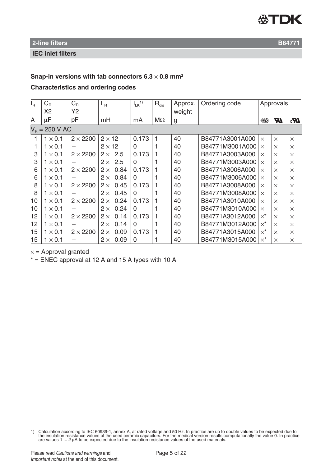

**IEC inlet filters**

#### **Snap-in versions with tab connectors 6.3** × **0.8 mm2**

#### **Characteristics and ordering codes**

| $I_{\rm R}$ | $C_R$            | $C_{R}$         | $L_{\rm R}$        | $I_{LK}$ <sup>1)</sup> | $R_{dis}$ | Approx. | Ordering code   |                    | Approvals                  |            |
|-------------|------------------|-----------------|--------------------|------------------------|-----------|---------|-----------------|--------------------|----------------------------|------------|
|             | X <sub>2</sub>   | Y2              |                    |                        |           | weight  |                 |                    |                            |            |
| A           | μF               | pF              | mH                 | mA                     | $M\Omega$ | g       |                 | $\mathbb{K}$ 10    | $\boldsymbol{\mathcal{H}}$ | $I\!\!R_0$ |
|             | $V_B = 250$ V AC |                 |                    |                        |           |         |                 |                    |                            |            |
| 1           | $1 \times 0.1$   | $2 \times 2200$ | $2 \times 12$      | 0.173                  |           | 40      | B84771A3001A000 | $\times$           | $\times$                   | $\times$   |
| 1           | $1 \times 0.1$   |                 | $2 \times 12$      | 0                      |           | 40      | B84771M3001A000 | $\times$           | $\times$                   | $\times$   |
| 3           | $1 \times 0.1$   | $2 \times 2200$ | $2 \times 2.5$     | 0.173                  |           | 40      | B84771A3003A000 | $\times$           | $\times$                   | $\times$   |
| 3           | $1 \times 0.1$   | —               | $2 \times 2.5$     | 0                      |           | 40      | B84771M3003A000 | $\times$           | $\times$                   | $\times$   |
| 6           | $1 \times 0.1$   | $2 \times 2200$ | 0.84<br>$2 \times$ | 0.173                  |           | 40      | B84771A3006A000 | $\times$           | $\times$                   | $\times$   |
| 6           | $1 \times 0.1$   |                 | 0.84<br>$2 \times$ | 0                      |           | 40      | B84771M3006A000 | $\times$           | $\times$                   | $\times$   |
| 8           | $1 \times 0.1$   | $2 \times 2200$ | 0.45<br>$2 \times$ | 0.173                  |           | 40      | B84771A3008A000 | $\times$           | $\times$                   | $\times$   |
| 8           | $1 \times 0.1$   |                 | 0.45<br>$2 \times$ | <sup>0</sup>           |           | 40      | B84771M3008A000 | $\times$           | $\times$                   | $\times$   |
| 10          | $1 \times 0.1$   | $2 \times 2200$ | 0.24<br>$2 \times$ | 0.173                  |           | 40      | B84771A3010A000 | $\times$           | $\times$                   | $\times$   |
| 10          | $1 \times 0.1$   |                 | 0.24<br>$2 \times$ | 0                      |           | 40      | B84771M3010A000 | $\times$           | $\times$                   | $\times$   |
| 12          | $1 \times 0.1$   | $2 \times 2200$ | 0.14<br>$2 \times$ | 0.173                  |           | 40      | B84771A3012A000 | $\times^{\star}$   | $\times$                   | $\times$   |
| 12          | $1 \times 0.1$   |                 | 0.14<br>$2 \times$ | 0                      |           | 40      | B84771M3012A000 | $\times^{\star}$   | $\times$                   | $\times$   |
| 15          | $1 \times 0.1$   | $2 \times 2200$ | 0.09<br>$2 \times$ | 0.173                  |           | 40      | B84771A3015A000 | $\times^{\!\star}$ | $\times$                   | $\times$   |
| 15          | $1 \times 0.1$   |                 | 0.09<br>$2 \times$ | 0                      |           | 40      | B84771M3015A000 | $\times^{\!\star}$ | $\times$                   | $\times$   |

 $x =$  Approval granted

 $*$  = ENEC approval at 12 A and 15 A types with 10 A

<sup>1)</sup> Calculation according to IEC 60939-1, annex A, at rated voltage and 50 Hz. In practice are up to double values to be expected due to the insulation resistance values of the used ceramic capacitors. For the medical vers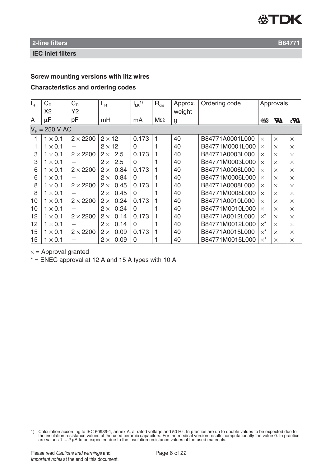

#### **IEC inlet filters**

# **Screw mounting versions with litz wires**

#### **Characteristics and ordering codes**

| $I_R$ | $C_R$            | $C_{\rm R}$     | $L_{\rm R}$        | $I_{LK}$ <sup>1)</sup> | $R_{dis}$ | Approx. | Ordering code   |                  | Approvals |                 |
|-------|------------------|-----------------|--------------------|------------------------|-----------|---------|-----------------|------------------|-----------|-----------------|
|       | X <sub>2</sub>   | Y2              |                    |                        |           | weight  |                 |                  |           |                 |
| A     | $\mu$ F          | pF              | mH                 | mA                     | $M\Omega$ | g       |                 | ∰10              | <b>AT</b> | $\mathcal{R}_0$ |
|       | $V_B = 250$ V AC |                 |                    |                        |           |         |                 |                  |           |                 |
| 1     | $1 \times 0.1$   | $2 \times 2200$ | $2 \times 12$      | 0.173                  | 1         | 40      | B84771A0001L000 | $\times$         | $\times$  | $\times$        |
| 1     | $1 \times 0.1$   |                 | $2 \times 12$      | $\Omega$               |           | 40      | B84771M0001L000 | $\times$         | $\times$  | $\times$        |
| 3     | $1 \times 0.1$   | $2 \times 2200$ | $2 \times 2.5$     | 0.173                  |           | 40      | B84771A0003L000 | $\times$         | $\times$  | $\times$        |
| 3     | $1 \times 0.1$   |                 | 2.5<br>$2 \times$  | $\Omega$               |           | 40      | B84771M0003L000 | $\times$         | $\times$  | $\times$        |
| 6     | $1 \times 0.1$   | $2 \times 2200$ | 0.84<br>$2 \times$ | 0.173                  |           | 40      | B84771A0006L000 | $\times$         | $\times$  | $\times$        |
| 6     | $1 \times 0.1$   |                 | 0.84<br>$2 \times$ | $\Omega$               |           | 40      | B84771M0006L000 | $\times$         | $\times$  | $\times$        |
| 8     | $1 \times 0.1$   | $2 \times 2200$ | 0.45<br>$2 \times$ | 0.173                  |           | 40      | B84771A0008L000 | $\times$         | $\times$  | $\times$        |
| 8     | $1 \times 0.1$   | $\qquad \qquad$ | 0.45<br>$2 \times$ | $\Omega$               |           | 40      | B84771M0008L000 | $\times$         | $\times$  | $\times$        |
| 10    | $1 \times 0.1$   | $2 \times 2200$ | 0.24<br>$2 \times$ | 0.173                  |           | 40      | B84771A0010L000 | $\times$         | $\times$  | $\times$        |
| 10    | $1 \times 0.1$   |                 | 0.24<br>$2 \times$ | $\Omega$               |           | 40      | B84771M0010L000 | $\times$         | $\times$  | $\times$        |
| 12    | $1 \times 0.1$   | $2 \times 2200$ | 0.14<br>$2 \times$ | 0.173                  |           | 40      | B84771A0012L000 | $\times^{\star}$ | $\times$  | $\times$        |
| 12    | $1 \times 0.1$   |                 | 0.14<br>$2 \times$ | $\Omega$               |           | 40      | B84771M0012L000 | $\times^{\star}$ | $\times$  | $\times$        |
| 15    | $1 \times 0.1$   | $2 \times 2200$ | 0.09<br>$2 \times$ | 0.173                  |           | 40      | B84771A0015L000 | $\times^{\star}$ | $\times$  | $\times$        |
| 15    | $1 \times 0.1$   |                 | 0.09<br>$2 \times$ | $\Omega$               |           | 40      | B84771M0015L000 | $\times^{\star}$ | $\times$  | $\times$        |

 $x =$  Approval granted

 $*$  = ENEC approval at 12 A and 15 A types with 10 A

1) Calculation according to IEC 60939-1, annex A, at rated voltage and 50 Hz. In practice are up to double values to be expected due to the insulation resistance values of the used ceramic capacitors. For the medical vers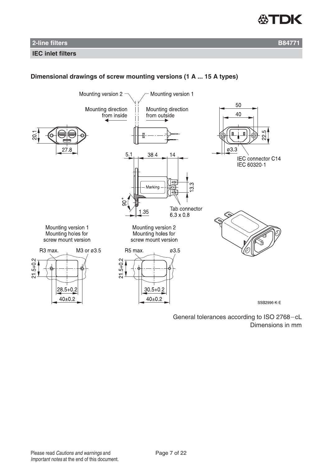

#### **IEC inlet filters**

# **Dimensional drawings of screw mounting versions (1 A ... 15 A types)**

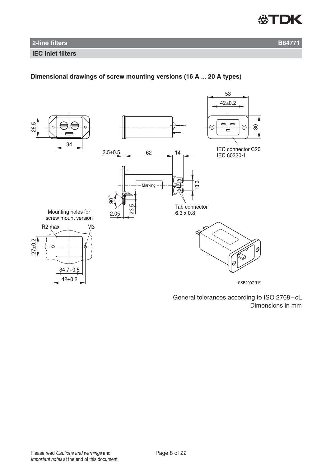

#### **IEC inlet filters**

# **Dimensional drawings of screw mounting versions (16 A ... 20 A types)**

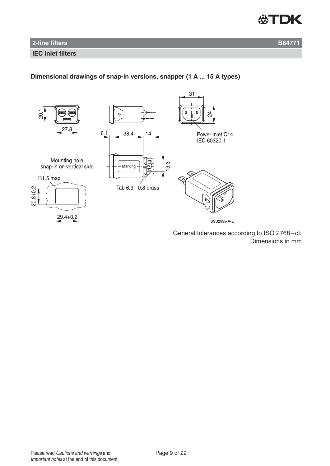

#### **IEC inlet filters**

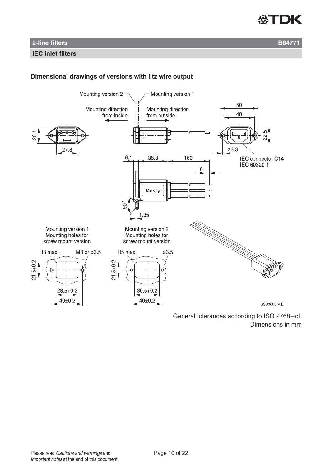

### **IEC inlet filters**

### **Dimensional drawings of versions with litz wire output**

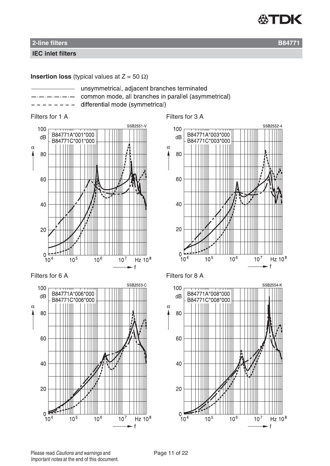

#### **IEC inlet filters**

**Insertion loss** (typical values at  $Z = 50 \Omega$ )

- unsymmetrical, adjacent branches terminated
	- common mode, all branches in parallel (asymmetrical)
	- differential mode (symmetrical)













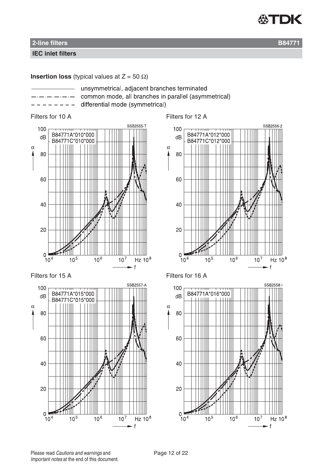

#### **IEC inlet filters**

**Insertion loss** (typical values at  $Z = 50 \Omega$ )

- 
- unsymmetrical, adjacent branches terminated common mode, all branches in parallel (asymmetrical)
	- differential mode (symmetrical)



Filters for 15 A Filters for 16 A



Filters for 10 A Filters for 12 A



SSB2558-100 B84771A\*016\*000  $dB$ THIL  $\alpha$ 80 60 40 20  $\overline{0}$  $10^7$  $10^{5}$  $10<sup>6</sup>$ Hz  $10^8$  $10<sup>4</sup>$  $\mathbf{f}$ 

Please read Cautions and warnings and <br>
Page 12 of 22 Important notes at the end of this document.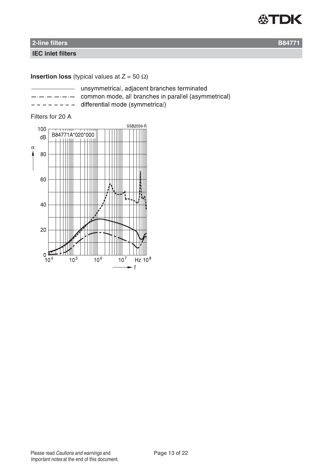

#### **IEC inlet filters**

# **Insertion loss** (typical values at  $Z = 50 \Omega$ )

- unsymmetrical, adjacent branches terminated
	- common mode, all branches in parallel (asymmetrical) differential mode (symmetrical)

### Filters for 20 A

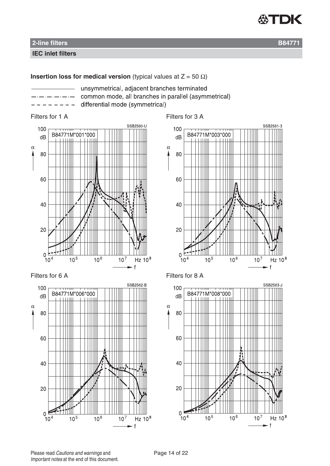

**IEC inlet filters**

### **Insertion loss for medical version** (typical values at  $Z = 50 \Omega$ )

unsymmetrical, adjacent branches terminated common mode, all branches in parallel (asymmetrical)

differential mode (symmetrical)











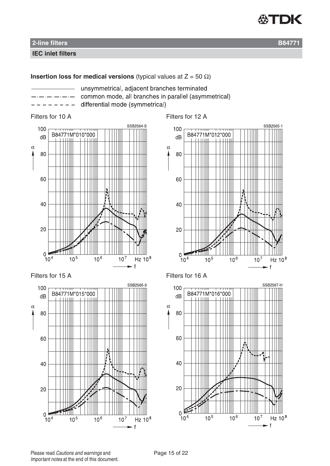

**IEC inlet filters**

# **Insertion loss for medical versions** (typical values at  $Z = 50 \Omega$ )

common mode, all branches in parallel (asymmetrical) differential mode (symmetrical)

unsymmetrical, adjacent branches terminated











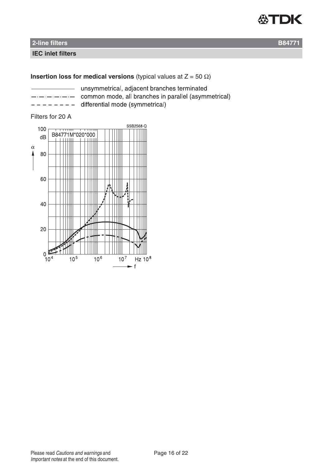

### **IEC inlet filters**

# **Insertion loss for medical versions** (typical values at  $Z = 50 \Omega$ )

|  |  | _________________ |  |   |
|--|--|-------------------|--|---|
|  |  |                   |  | - |

unsymmetrical, adjacent branches terminated common mode, all branches in parallel (asymmetrical)

differential mode (symmetrical)

#### Filters for 20 A

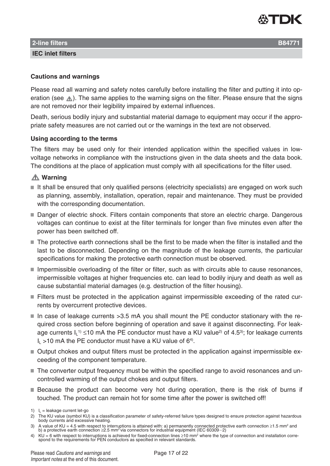

**IEC inlet filters**

#### **Cautions and warnings**

Please read all warning and safety notes carefully before installing the filter and putting it into operation (see  $\triangle$ ). The same applies to the warning signs on the filter. Please ensure that the signs are not removed nor their legibility impaired by external influences.

Death, serious bodily injury and substantial material damage to equipment may occur if the appropriate safety measures are not carried out or the warnings in the text are not observed.

#### **Using according to the terms**

The filters may be used only for their intended application within the specified values in lowvoltage networks in compliance with the instructions given in the data sheets and the data book. The conditions at the place of application must comply with all specifications for the filter used.

### **Warning**

- It shall be ensured that only qualified persons (electricity specialists) are engaged on work such as planning, assembly, installation, operation, repair and maintenance. They must be provided with the corresponding documentation.
- Danger of electric shock. Filters contain components that store an electric charge. Dangerous voltages can continue to exist at the filter terminals for longer than five minutes even after the power has been switched off.
- The protective earth connections shall be the first to be made when the filter is installed and the last to be disconnected. Depending on the magnitude of the leakage currents, the particular specifications for making the protective earth connection must be observed.
- Impermissible overloading of the filter or filter, such as with circuits able to cause resonances, impermissible voltages at higher frequencies etc. can lead to bodily injury and death as well as cause substantial material damages (e.g. destruction of the filter housing).
- Filters must be protected in the application against impermissible exceeding of the rated currents by overcurrent protective devices.
- In case of leakage currents > 3.5 mA you shall mount the PE conductor stationary with the required cross section before beginning of operation and save it against disconnecting. For leakage currents  $I_L$ <sup>1)</sup> ≤10 mA the PE conductor must have a KU value<sup>2)</sup> of 4.5<sup>3)</sup>; for leakage currents  $I_1$  >10 mA the PE conductor must have a KU value of 6<sup>4)</sup>.
- Output chokes and output filters must be protected in the application against impermissible exceeding of the component temperature.
- The converter output frequency must be within the specified range to avoid resonances and uncontrolled warming of the output chokes and output filters.
- **Because the product can become very hot during operation, there is the risk of burns if** touched. The product can remain hot for some time after the power is switched off!

- 3) A value of KU = 4.5 with respect to interruptions is attained with: a) permanently connected protective earth connection ≥1.5 mm<sup>2</sup> and<br>b) a protective earth connection ≥2.5 mm<sup>2</sup> via connectors for industrial equipme
- 4) KU = 6 with respect to interruptions is achieved for fixed-connection lines  $\geq$ 10 mm<sup>2</sup> where the type of connection and installation corre-<br>spond to the requirements for PEN conductors as specified in relevant stand

<sup>1)</sup>  $I_L$  = leakage current let-go

<sup>2)</sup> The KU value (symbol KU) is a classification parameter of safety-referred failure types designed to ensure protection against hazardous body currents and excessive heating.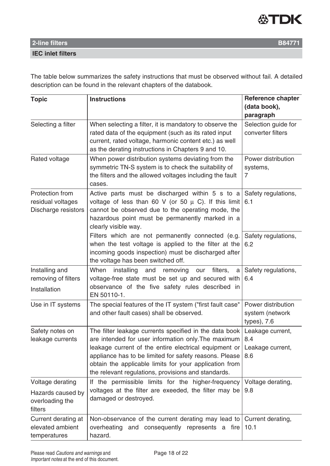

### **IEC inlet filters**

The table below summarizes the safety instructions that must be observed without fail. A detailed description can be found in the relevant chapters of the databook.

| <b>Topic</b>                                                | <b>Instructions</b>                                                                                                                                                                                                                                                                                                                               | Reference chapter                                    |  |  |
|-------------------------------------------------------------|---------------------------------------------------------------------------------------------------------------------------------------------------------------------------------------------------------------------------------------------------------------------------------------------------------------------------------------------------|------------------------------------------------------|--|--|
|                                                             |                                                                                                                                                                                                                                                                                                                                                   | (data book),<br>paragraph                            |  |  |
| Selecting a filter                                          | When selecting a filter, it is mandatory to observe the<br>rated data of the equipment (such as its rated input<br>current, rated voltage, harmonic content etc.) as well<br>as the derating instructions in Chapters 9 and 10.                                                                                                                   | Selection guide for<br>converter filters             |  |  |
| Rated voltage                                               | When power distribution systems deviating from the<br>symmetric TN-S system is to check the suitability of<br>the filters and the allowed voltages including the fault<br>cases.                                                                                                                                                                  | Power distribution<br>systems,<br>7                  |  |  |
| Protection from<br>residual voltages<br>Discharge resistors | Active parts must be discharged within 5 s to a<br>voltage of less than 60 V (or 50 $\mu$ C). If this limit<br>cannot be observed due to the operating mode, the<br>hazardous point must be permanently marked in a<br>clearly visible way.                                                                                                       | Safety regulations,<br>6.1                           |  |  |
|                                                             | Filters which are not permanently connected (e.g.<br>when the test voltage is applied to the filter at the<br>incoming goods inspection) must be discharged after<br>the voltage has been switched off.                                                                                                                                           | Safety regulations,<br>6.2                           |  |  |
| Installing and<br>removing of filters<br>Installation       | When<br>installing<br>and<br>removing<br>filters,<br>our<br>a<br>voltage-free state must be set up and secured with<br>observance of the five safety rules described in<br>EN 50110-1.                                                                                                                                                            | Safety regulations,<br>6.4                           |  |  |
| Use in IT systems                                           | The special features of the IT system ("first fault case"<br>and other fault cases) shall be observed.                                                                                                                                                                                                                                            | Power distribution<br>system (network<br>types), 7.6 |  |  |
| Safety notes on<br>leakage currents                         | The filter leakage currents specified in the data book<br>are intended for user information only. The maximum<br>leakage current of the entire electrical equipment or<br>appliance has to be limited for safety reasons. Please<br>obtain the applicable limits for your application from<br>the relevant regulations, provisions and standards. | Leakage current,<br>8.4<br>Leakage current,<br>8.6   |  |  |
| Voltage derating                                            | If the permissible limits for the higher-frequency                                                                                                                                                                                                                                                                                                | Voltage derating,                                    |  |  |
| Hazards caused by<br>overloading the<br>filters             | voltages at the filter are exeeded, the filter may be<br>damaged or destroyed.                                                                                                                                                                                                                                                                    | 9.8                                                  |  |  |
| Current derating at<br>elevated ambient<br>temperatures     | Non-observance of the current derating may lead to<br>overheating and consequently represents a fire<br>hazard.                                                                                                                                                                                                                                   | Current derating,<br>10.1                            |  |  |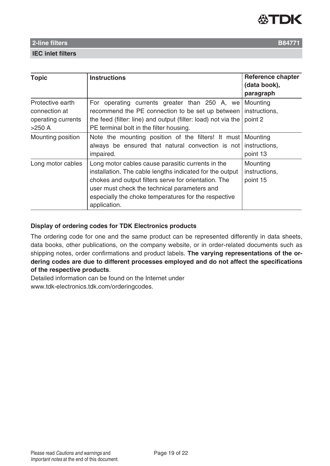

#### **IEC inlet filters**

| <b>Topic</b>                                                        | <b>Instructions</b>                                                                                                                                                                                                                                                                           | <b>Reference chapter</b><br>(data book),<br>paragraph |
|---------------------------------------------------------------------|-----------------------------------------------------------------------------------------------------------------------------------------------------------------------------------------------------------------------------------------------------------------------------------------------|-------------------------------------------------------|
| Protective earth<br>connection at<br>operating currents<br>$>250$ A | For operating currents greater than 250 A, we<br>recommend the PE connection to be set up between<br>the feed (filter: line) and output (filter: load) not via the<br>PE terminal bolt in the filter housing.                                                                                 | Mounting<br>instructions,<br>point 2                  |
| Mounting position                                                   | Note the mounting position of the filters! It must Mounting<br>always be ensured that natural convection is not instructions,<br>impaired.                                                                                                                                                    | point 13                                              |
| Long motor cables                                                   | Long motor cables cause parasitic currents in the<br>installation. The cable lengths indicated for the output<br>chokes and output filters serve for orientation. The<br>user must check the technical parameters and<br>especially the choke temperatures for the respective<br>application. | Mounting<br>instructions,<br>point 15                 |

### **Display of ordering codes for TDK Electronics products**

The ordering code for one and the same product can be represented differently in data sheets, data books, other publications, on the company website, or in order-related documents such as shipping notes, order confirmations and product labels. **The varying representations of the ordering codes are due to different processes employed and do not affect the specifications of the respective products**.

Detailed information can be found on the Internet under www.tdk-electronics.tdk.com/orderingcodes.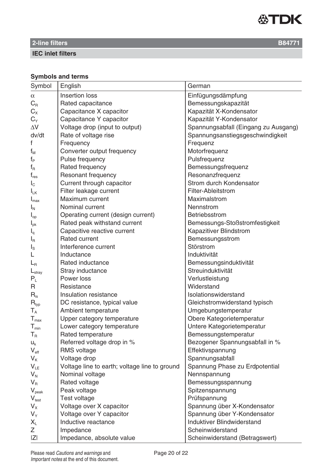

**IEC inlet filters**

# **Symbols and terms**

| Symbol                      | English                                       | German                               |
|-----------------------------|-----------------------------------------------|--------------------------------------|
| $\alpha$                    | Insertion loss                                | Einfügungsdämpfung                   |
| $C_R$                       | Rated capacitance                             | Bemessungskapazität                  |
| $C_{X}$                     | Capacitance X capacitor                       | Kapazität X-Kondensator              |
| $C_{Y}$                     | Capacitance Y capacitor                       | Kapazität Y-Kondensator              |
| $\Delta \rm{V}$             | Voltage drop (input to output)                | Spannungsabfall (Eingang zu Ausgang) |
| dv/dt                       | Rate of voltage rise                          | Spannungsanstiegsgeschwindigkeit     |
| f                           | Frequency                                     | Frequenz                             |
| $f_{M}$                     | Converter output frequency                    | Motorfrequenz                        |
| $f_{\mathsf{P}}$            | Pulse frequency                               | Pulsfrequenz                         |
| $f_R$                       | Rated frequency                               | Bemessungsfrequenz                   |
| $\mathsf{f}_{\mathsf{res}}$ | Resonant frequency                            | Resonanzfrequenz                     |
| $I_{\rm C}$                 | Current through capacitor                     | Strom durch Kondensator              |
| $I_{LK}$                    | Filter leakage current                        | Filter-Ableitstrom                   |
| $I_{\text{max}}$            | Maximum current                               | Maximalstrom                         |
| $I_{N}$                     | Nominal current                               | Nennstrom                            |
| $I_{op}$                    | Operating current (design current)            | Betriebsstrom                        |
| $I_{\rm pk}$                | Rated peak withstand current                  | Bemessungs-Stoßstromfestigkeit       |
| $I_q$                       | Capacitive reactive current                   | Kapazitiver Blindstrom               |
| $I_{\mathsf{R}}$            | <b>Rated current</b>                          | Bemessungsstrom                      |
| $I_{\rm S}$                 | Interference current                          | Störstrom                            |
|                             | Inductance                                    | Induktivität                         |
| $L_{\rm R}$                 | Rated inductance                              | Bemessungsinduktivität               |
| $L_{\text{stray}}$          | Stray inductance                              | Streuinduktivität                    |
| $P_L$                       | Power loss                                    | Verlustleistung                      |
| R                           | Resistance                                    | Widerstand                           |
| $R_{is}$                    | Insulation resistance                         | Isolationswiderstand                 |
| $R_{typ}$                   | DC resistance, typical value                  | Gleichstromwiderstand typisch        |
| $\mathsf{T}_\mathsf{A}$     | Ambient temperature                           | Umgebungstemperatur                  |
| $\mathsf{T}_{\text{max}}$   | Upper category temperature                    | Obere Kategorietemperatur            |
| $\mathsf{T}_{\mathsf{min}}$ | Lower category temperature                    | Untere Kategorietemperatur           |
| $T_R$                       | Rated temperature                             | Bemessungstemperatur                 |
| $U_{k}$                     | Referred voltage drop in %                    | Bezogener Spannungsabfall in %       |
| $V_{\text{eff}}$            | <b>RMS</b> voltage                            | Effektivspannung                     |
| $V_{K}$                     | Voltage drop                                  | Spannungsabfall                      |
| $V_{LE}$                    | Voltage line to earth; voltage line to ground | Spannung Phase zu Erdpotential       |
| $V_{N}$                     | Nominal voltage                               | Nennspannung                         |
| $V_{R}$                     | Rated voltage                                 | Bemessungsspannung                   |
| $V_{\text{peak}}$           | Peak voltage                                  | Spitzenspannung                      |
| $V_{test}$                  | Test voltage                                  | Prüfspannung                         |
| $V_{\rm X}$                 | Voltage over X capacitor                      | Spannung über X-Kondensator          |
| $V_Y$                       | Voltage over Y capacitor                      | Spannung über Y-Kondensator          |
| $X_L$                       | Inductive reactance                           | Induktiver Blindwiderstand           |
| Ζ                           | Impedance                                     | Scheinwiderstand                     |
| Z                           | Impedance, absolute value                     | Scheinwiderstand (Betragswert)       |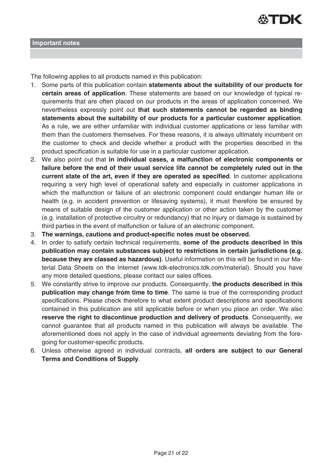

The following applies to all products named in this publication:

- 1. Some parts of this publication contain **statements about the suitability of our products for certain areas of application**. These statements are based on our knowledge of typical requirements that are often placed on our products in the areas of application concerned. We nevertheless expressly point out **that such statements cannot be regarded as binding statements about the suitability of our products for a particular customer application**. As a rule, we are either unfamiliar with individual customer applications or less familiar with them than the customers themselves. For these reasons, it is always ultimately incumbent on the customer to check and decide whether a product with the properties described in the product specification is suitable for use in a particular customer application.
- 2. We also point out that **in individual cases, a malfunction of electronic components or failure before the end of their usual service life cannot be completely ruled out in the current state of the art, even if they are operated as specified**. In customer applications requiring a very high level of operational safety and especially in customer applications in which the malfunction or failure of an electronic component could endanger human life or health (e.g. in accident prevention or lifesaving systems), it must therefore be ensured by means of suitable design of the customer application or other action taken by the customer (e.g. installation of protective circuitry or redundancy) that no injury or damage is sustained by third parties in the event of malfunction or failure of an electronic component.
- 3. **The warnings, cautions and product-specific notes must be observed.**
- 4. In order to satisfy certain technical requirements, **some of the products described in this publication may contain substances subject to restrictions in certain jurisdictions (e.g. because they are classed as hazardous)**. Useful information on this will be found in our Material Data Sheets on the Internet (www.tdk-electronics.tdk.com/material). Should you have any more detailed questions, please contact our sales offices.
- 5. We constantly strive to improve our products. Consequently, **the products described in this publication may change from time to time**. The same is true of the corresponding product specifications. Please check therefore to what extent product descriptions and specifications contained in this publication are still applicable before or when you place an order. We also **reserve the right to discontinue production and delivery of products**. Consequently, we cannot guarantee that all products named in this publication will always be available. The aforementioned does not apply in the case of individual agreements deviating from the foregoing for customer-specific products.
- 6. Unless otherwise agreed in individual contracts, **all orders are subject to our General Terms and Conditions of Supply**.